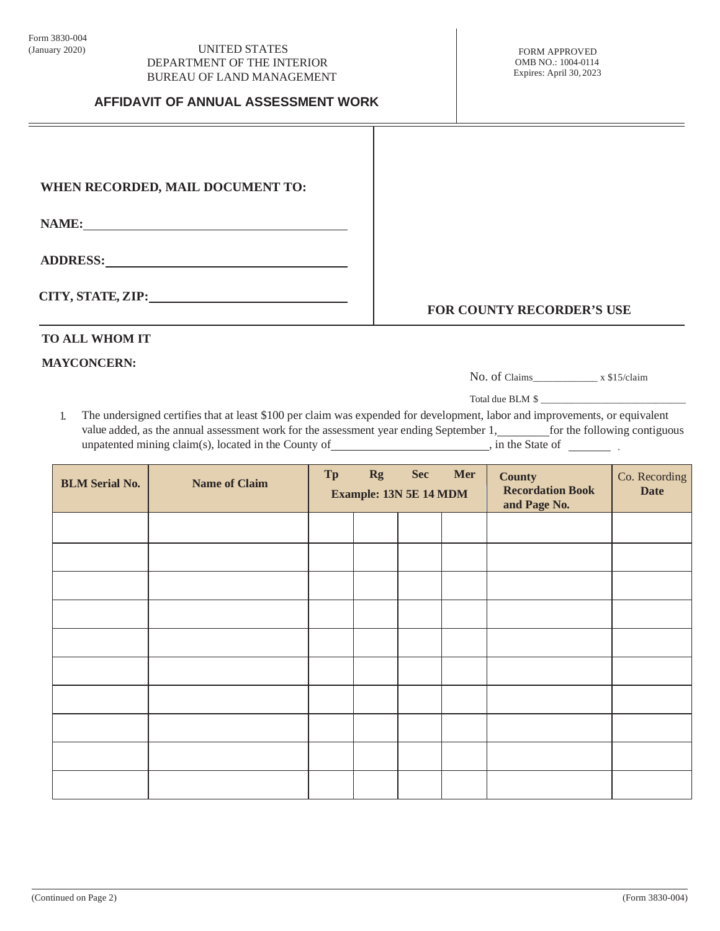### (January 2020) UNITED STATES DEPARTMENT OF THE INTERIOR BUREAU OF LAND MANAGEMENT

## **AFFIDAVIT OF ANNUAL ASSESSMENT WORK**

# **WHEN RECORDED, MAIL DOCUMENT TO:**

**NAME:**

**ADDRESS:** 

**CITY, STATE, ZIP:**

**FOR COUNTY RECORDER'S USE**

# **TO ALL WHOM IT**

# **MAYCONCERN:**

No. of Claims\_\_\_\_\_\_\_\_\_\_\_\_\_ x \$15/claim

Total due BLM \$

1. The undersigned certifies that at least \$100 per claim was expended for development, labor and improvements, or equivalent value added, as the annual assessment work for the assessment year ending September 1, for the following contiguous unpatented mining claim(s), located in the County of \_\_\_\_\_\_\_\_\_\_\_\_\_\_\_\_\_\_\_\_\_\_, in the State of \_\_\_\_\_\_\_\_\_\_.

| <b>BLM</b> Serial No. | <b>Name of Claim</b> | Tp | <b>Rg</b><br><b>Example: 13N 5E 14 MDM</b> | <b>Sec</b> | Mer | <b>County</b><br><b>Recordation Book</b><br>and Page No. | Co. Recording<br><b>Date</b> |
|-----------------------|----------------------|----|--------------------------------------------|------------|-----|----------------------------------------------------------|------------------------------|
|                       |                      |    |                                            |            |     |                                                          |                              |
|                       |                      |    |                                            |            |     |                                                          |                              |
|                       |                      |    |                                            |            |     |                                                          |                              |
|                       |                      |    |                                            |            |     |                                                          |                              |
|                       |                      |    |                                            |            |     |                                                          |                              |
|                       |                      |    |                                            |            |     |                                                          |                              |
|                       |                      |    |                                            |            |     |                                                          |                              |
|                       |                      |    |                                            |            |     |                                                          |                              |
|                       |                      |    |                                            |            |     |                                                          |                              |
|                       |                      |    |                                            |            |     |                                                          |                              |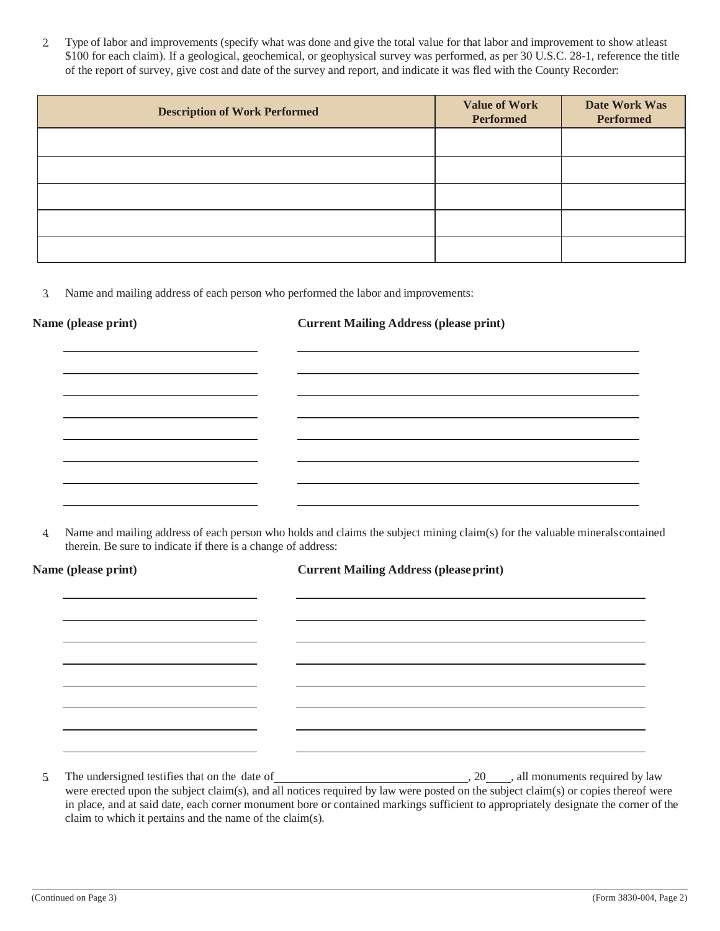2. Type of labor and improvements (specify what was done and give the total value for that labor and improvement to show atleast \$100 for each claim). If a geological, geochemical, or geophysical survey was performed, as per 30 U.S.C. 28-1, reference the title of the report of survey, give cost and date of the survey and report, and indicate it was fled with the County Recorder:

| <b>Description of Work Performed</b> | <b>Value of Work</b><br>Performed | Date Work Was<br><b>Performed</b> |
|--------------------------------------|-----------------------------------|-----------------------------------|
|                                      |                                   |                                   |
|                                      |                                   |                                   |
|                                      |                                   |                                   |
|                                      |                                   |                                   |
|                                      |                                   |                                   |

3. Name and mailing address of each person who performed the labor and improvements:

**Name (please print) Current Mailing Address (please print)**

4. Name and mailing address of each person who holds and claims the subject mining claim(s) for the valuable mineralscontained therein. Be sure to indicate if there is a change of address:

| Name (please print) | <b>Current Mailing Address (please print)</b> |  |  |  |
|---------------------|-----------------------------------------------|--|--|--|
|                     |                                               |  |  |  |
|                     |                                               |  |  |  |
|                     |                                               |  |  |  |
|                     |                                               |  |  |  |
|                     |                                               |  |  |  |
|                     |                                               |  |  |  |
|                     |                                               |  |  |  |
|                     |                                               |  |  |  |
| 5.                  |                                               |  |  |  |

were erected upon the subject claim(s), and all notices required by law were posted on the subject claim(s) or copies thereof were in place, and at said date, each corner monument bore or contained markings sufficient to appropriately designate the corner of the claim to which it pertains and the name of the claim(s).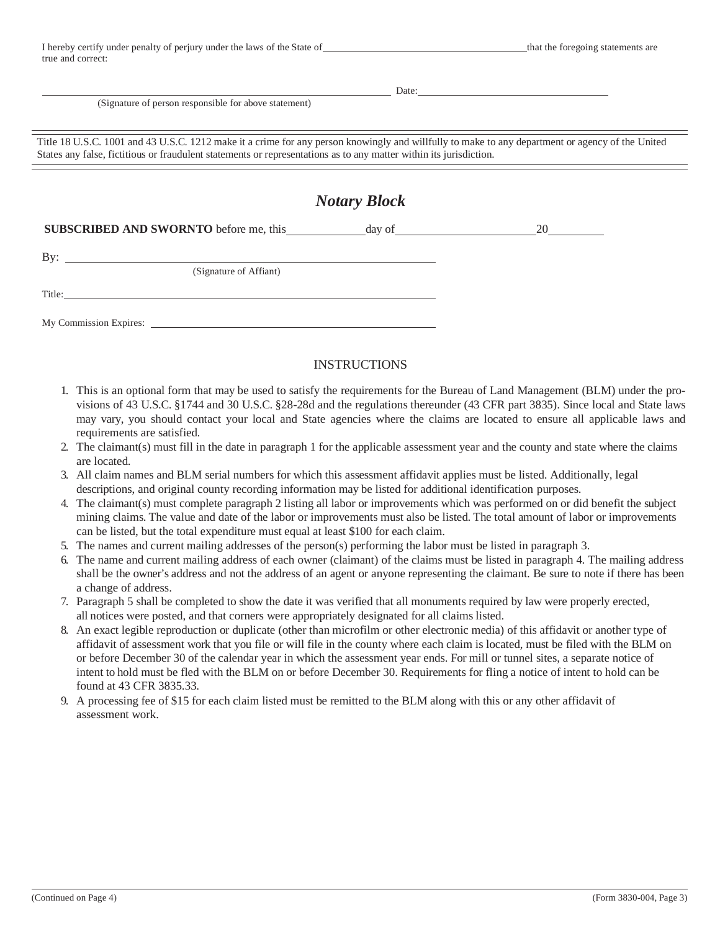| I hereby certify under penalty of perjury under the laws of the State of |  |
|--------------------------------------------------------------------------|--|
| true and correct:                                                        |  |

Date:

(Signature of person responsible for above statement)

Title 18 U.S.C. 1001 and 43 U.S.C. 1212 make it a crime for any person knowingly and willfully to make to any department or agency of the United States any false, fictitious or fraudulent statements or representations as to any matter within its jurisdiction.

|                                                                                   | <b>Notary Block</b> |  |
|-----------------------------------------------------------------------------------|---------------------|--|
| SUBSCRIBED AND SWORNTO before me, this ___________ day of _______________________ |                     |  |
| By: $\qquad \qquad$<br>(Signature of Affiant)                                     |                     |  |
| Title:                                                                            |                     |  |
|                                                                                   |                     |  |

## INSTRUCTIONS

- 1. This is an optional form that may be used to satisfy the requirements for the Bureau of Land Management (BLM) under the provisions of 43 U.S.C. §1744 and 30 U.S.C. §28-28d and the regulations thereunder (43 CFR part 3835). Since local and State laws may vary, you should contact your local and State agencies where the claims are located to ensure all applicable laws and requirements are satisfied.
- 2. The claimant(s) must fill in the date in paragraph 1 for the applicable assessment year and the county and state where the claims are located.
- 3. All claim names and BLM serial numbers for which this assessment affidavit applies must be listed. Additionally, legal descriptions, and original county recording information may be listed for additional identification purposes.
- 4. The claimant(s) must complete paragraph 2 listing all labor or improvements which was performed on or did benefit the subject mining claims. The value and date of the labor or improvements must also be listed. The total amount of labor or improvements can be listed, but the total expenditure must equal at least \$100 for each claim.
- 5. The names and current mailing addresses of the person(s) performing the labor must be listed in paragraph 3.
- 6. The name and current mailing address of each owner (claimant) of the claims must be listed in paragraph 4. The mailing address shall be the owner's address and not the address of an agent or anyone representing the claimant. Be sure to note if there has been a change of address.
- 7. Paragraph 5 shall be completed to show the date it was verified that all monuments required by law were properly erected, all notices were posted, and that corners were appropriately designated for all claims listed.
- 8. An exact legible reproduction or duplicate (other than microfilm or other electronic media) of this affidavit or another type of affidavit of assessment work that you file or will file in the county where each claim is located, must be filed with the BLM on or before December 30 of the calendar year in which the assessment year ends. For mill or tunnel sites, a separate notice of intent to hold must be fled with the BLM on or before December 30. Requirements for fling a notice of intent to hold can be found at 43 CFR 3835.33.
- 9. A processing fee of \$15 for each claim listed must be remitted to the BLM along with this or any other affidavit of assessment work.